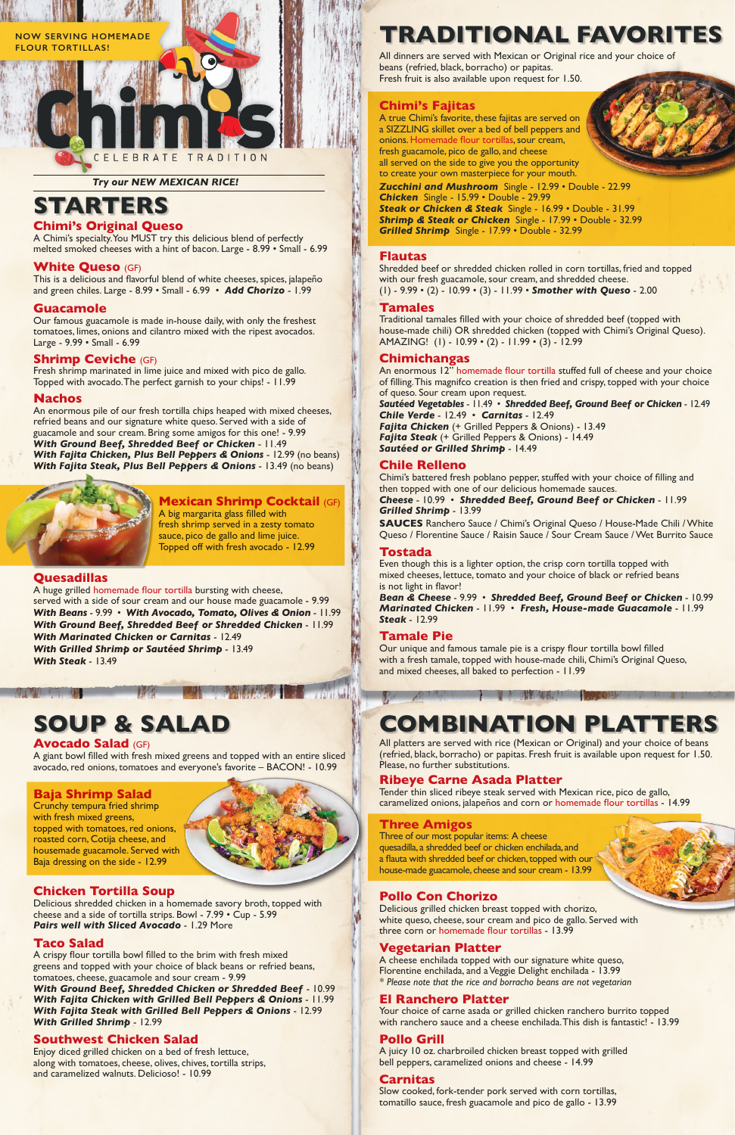# **STARTERS**

# **Chimi's Original Queso**

A Chimi's specialty. You MUST try this delicious blend of perfectly melted smoked cheeses with a hint of bacon. Large - 8.99 • Small - 6.99

#### **White Queso** (GF)

This is a delicious and flavorful blend of white cheeses, spices, jalapeño and green chiles. Large - 8.99 • Small - 6.99 • *Add Chorizo* - 1.99

#### **Guacamole**

Our famous guacamole is made in-house daily, with only the freshest tomatoes, limes, onions and cilantro mixed with the ripest avocados. Large - 9.99 • Small - 6.99

#### **Shrimp Ceviche** (GF)

Fresh shrimp marinated in lime juice and mixed with pico de gallo. Topped with avocado. The perfect garnish to your chips! - 11.99

#### **Nachos**

An enormous pile of our fresh tortilla chips heaped with mixed cheeses, refried beans and our signature white queso. Served with a side of guacamole and sour cream. Bring some amigos for this one! - 9.99 *With Ground Beef, Shredded Beef or Chicken* - 11.49 *With Fajita Chicken, Plus Bell Peppers & Onions* - 12.99 (no beans) *With Fajita Steak, Plus Bell Peppers & Onions* - 13.49 (no beans)



### **Mexican Shrimp Cocktail** (GF)

A big margarita glass filled with fresh shrimp served in a zesty tomato sauce, pico de gallo and lime juice. Topped off with fresh avocado - 12.99

### **Quesadillas**

A huge grilled homemade flour tortilla bursting with cheese, served with a side of sour cream and our house made guacamole - 9.99 *With Beans* - 9.99 • *With Avocado, Tomato, Olives & Onion* - 11.99 *With Ground Beef, Shredded Beef or Shredded Chicken* - 11.99 *With Marinated Chicken or Carnitas* - 12.49 *With Grilled Shrimp or Sautéed Shrimp* - 13.49

*With Steak* - 13.49

#### **Avocado Salad** (GF)

A giant bowl filled with fresh mixed greens and topped with an entire sliced avocado, red onions, tomatoes and everyone's favorite – BACON! - 10.99

# **Baja Shrimp Salad**

Crunchy tempura fried shrimp with fresh mixed greens, topped with tomatoes, red onions,

roasted corn, Cotija cheese, and housemade guacamole. Served with Baja dressing on the side - 12.99

# **Chicken Tortilla Soup**

Delicious shredded chicken in a homemade savory broth, topped with cheese and a side of tortilla strips. Bowl - 7.99 • Cup - 5.99 *Pairs well with Sliced Avocado* - 1.29 More

# **Taco Salad**

A crispy flour tortilla bowl filled to the brim with fresh mixed greens and topped with your choice of black beans or refried beans, tomatoes, cheese, guacamole and sour cream - 9.99 *With Ground Beef, Shredded Chicken or Shredded Beef* - 10.99 *With Fajita Chicken with Grilled Bell Peppers & Onions* - 11.99 *With Fajita Steak with Grilled Bell Peppers & Onions* - 12.99 *With Grilled Shrimp* - 12.99

# **Southwest Chicken Salad**

Enjoy diced grilled chicken on a bed of fresh lettuce, along with tomatoes, cheese, olives, chives, tortilla strips, and caramelized walnuts. Delicioso! - 10.99

# **SOUP & SALAD**

An enormous 12" homemade flour tortilla stuffed full of cheese and your choice of filling. This magnifco creation is then fried and crispy, topped with your choice of queso. Sour cream upon request.

All dinners are served with Mexican or Original rice and your choice of beans (refried, black, borracho) or papitas. Fresh fruit is also available upon request for 1.50.

# **TRADITIONAL FAVORITES**

All platters are served with rice (Mexican or Original) and your choice of beans (refried, black, borracho) or papitas. Fresh fruit is available upon request for 1.50. Please, no further substitutions.

# **COMBINATION PLATTERS**

计数据 机制造机 计数据

#### *Try our NEW MEXICAN RICE!*



#### **Ribeye Carne Asada Platter**

Tender thin sliced ribeye steak served with Mexican rice, pico de gallo, caramelized onions, jalapeños and corn or homemade flour tortillas - 14.99

# **Three Amigos**

Three of our most popular items: A cheese quesadilla, a shredded beef or chicken enchilada, and a flauta with shredded beef or chicken, topped with our house-made guacamole, cheese and sour cream - 13.99

# **Pollo Con Chorizo**

Delicious grilled chicken breast topped with chorizo, white queso, cheese, sour cream and pico de gallo. Served with three corn or homemade flour tortillas - 13.99

# **Vegetarian Platter**

A cheese enchilada topped with our signature white queso, Florentine enchilada, and a Veggie Delight enchilada - 13.99 *\* Please note that the rice and borracho beans are not vegetarian* 

# **El Ranchero Platter**

Your choice of carne asada or grilled chicken ranchero burrito topped with ranchero sauce and a cheese enchilada. This dish is fantastic! - 13.99

# **Pollo Grill**

A juicy 10 oz. charbroiled chicken breast topped with grilled bell peppers, caramelized onions and cheese - 14.99

# **Carnitas**

Slow cooked, fork-tender pork served with corn tortillas, tomatillo sauce, fresh guacamole and pico de gallo - 13.99

### **Chimi's Fajitas**

A true Chimi's favorite, these fajitas are served on a SIZZLING skillet over a bed of bell peppers and onions. Homemade flour tortillas, sour cream, fresh guacamole, pico de gallo, and cheese all served on the side to give you the opportunity to create your own masterpiece for your mouth. *Zucchini and Mushroom* Single - 12.99 • Double - 22.99 *Chicken* Single - 15.99 • Double - 29.99 *Steak or Chicken & Steak* Single - 16.99 • Double - 31.99 *Shrimp & Steak or Chicken* Single - 17.99 • Double - 32.99 *Grilled Shrimp* Single - 17.99 • Double - 32.99

#### **Flautas**

Shredded beef or shredded chicken rolled in corn tortillas, fried and topped with our fresh guacamole, sour cream, and shredded cheese. (1) - 9.99 • (2) - 10.99 • (3) - 11.99 • *Smother with Queso* - 2.00

#### **Tamales**

Traditional tamales filled with your choice of shredded beef (topped with house-made chili) OR shredded chicken (topped with Chimi's Original Queso). AMAZING! (1) - 10.99 • (2) - 11.99 • (3) - 12.99

#### **Chimichangas**

*Sautéed Vegetables* - 11.49 • *Shredded Beef, Ground Beef or Chicken* - 12.49 *Chile Verde* - 12.49 • *Carnitas* - 12.49 *Fajita Chicken* (+ Grilled Peppers & Onions) - 13.49 *Fajita Steak* (+ Grilled Peppers & Onions) - 14.49

*Sautéed or Grilled Shrimp* - 14.49

### **Chile Relleno**

Chimi's battered fresh poblano pepper, stuffed with your choice of filling and then topped with one of our delicious homemade sauces.

*Cheese* - 10.99 • *Shredded Beef, Ground Beef or Chicken* - 11.99 *Grilled Shrimp* - 13.99

**SAUCES** Ranchero Sauce / Chimi's Original Queso / House-Made Chili / White Queso / Florentine Sauce / Raisin Sauce / Sour Cream Sauce / Wet Burrito Sauce

### **Tostada**

Even though this is a lighter option, the crisp corn tortilla topped with mixed cheeses, lettuce, tomato and your choice of black or refried beans is not light in flavor!

*Bean & Cheese* - 9.99 • *Shredded Beef, Ground Beef or Chicken* - 10.99 *Marinated Chicken* - 11.99 • *Fresh, House-made Guacamole* - 11.99 *Steak* - 12.99

### **Tamale Pie**

Our unique and famous tamale pie is a crispy flour tortilla bowl filled with a fresh tamale, topped with house-made chili, Chimi's Original Queso, and mixed cheeses, all baked to perfection - 11.99